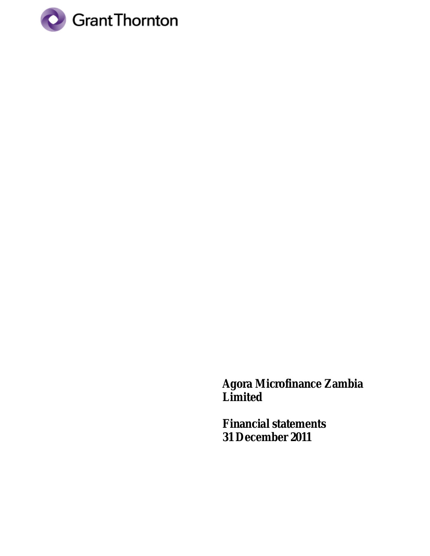

**Agora Microfinance Zambia Limited**

**Financial statements 31 December 2011**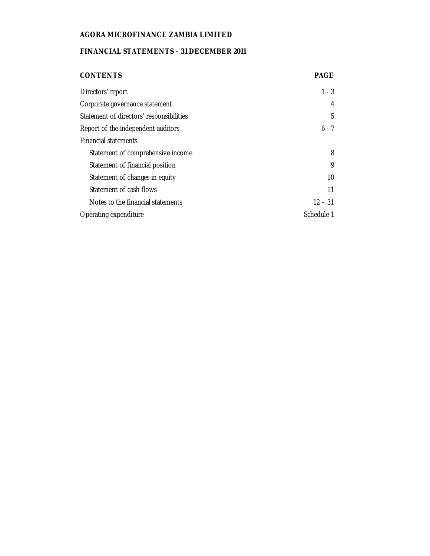# **FINANCIAL STATEMENTS – 31 DECEMBER 2011**

| <b>CONTENTS</b>                          | <b>PAGE</b> |
|------------------------------------------|-------------|
| Directors' report                        | $1 - 3$     |
| Corporate governance statement           | 4           |
| Statement of directors' responsibilities | 5           |
| Report of the independent auditors       | $6 - 7$     |
| <b>Financial statements</b>              |             |
| Statement of comprehensive income        | 8           |
| Statement of financial position          | 9           |
| Statement of changes in equity           | 10          |
| Statement of cash flows                  | 11          |
| Notes to the financial statements        | $12 - 31$   |
| Operating expenditure                    | Schedule 1  |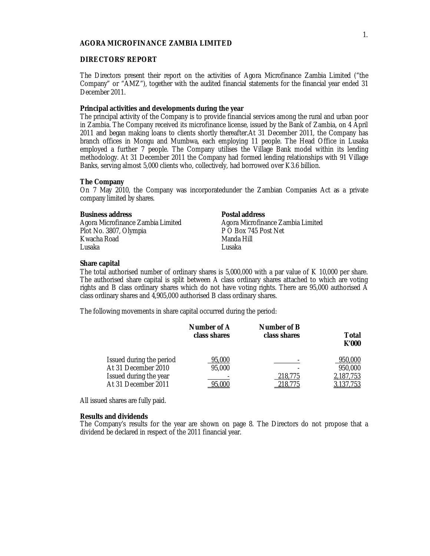#### **DIRECTORS' REPORT**

The Directors present their report on the activities of Agora Microfinance Zambia Limited ("the Company" or "AMZ"), together with the audited financial statements for the financial year ended 31 December 2011.

## **Principal activities and developments during the year**

The principal activity of the Company is to provide financial services among the rural and urban poor in Zambia. The Company received its microfinance license, issued by the Bank of Zambia, on 4 April 2011 and began making loans to clients shortly thereafter.At 31 December 2011, the Company has branch offices in Mongu and Mumbwa, each employing 11 people. The Head Office in Lusaka employed a further 7 people. The Company utilises the Village Bank model within its lending methodology. At 31 December 2011 the Company had formed lending relationships with 91 Village Banks, serving almost 5,000 clients who, collectively, had borrowed over K3.6 billion.

## **The Company**

On 7 May 2010, the Company was incorporatedunder the Zambian Companies Act as a private company limited by shares.

**Business address Postal address** Plot No. 3807, Olympia P O Box 74<br>1 Kwacha Road Post Network Network Kwacha Road Manda<br>Husaka Manda Hillisaha Hillisaha Lusaka Lusaka

Agora Microfinance Zambia Limited<br>P O Box 745 Post Net

#### **Share capital**

The total authorised number of ordinary shares is 5,000,000 with a par value of K 10,000 per share. The authorised share capital is split between A class ordinary shares attached to which are voting rights and B class ordinary shares which do not have voting rights. There are 95,000 authorised A class ordinary shares and 4,905,000 authorised B class ordinary shares.

The following movements in share capital occurred during the period:

|                          | Number of A<br>class shares | Number of B<br>class shares | Total<br>K'000 |
|--------------------------|-----------------------------|-----------------------------|----------------|
| Issued during the period | 95,000                      |                             | 950,000        |
| At 31 December 2010      | 95,000                      |                             | 950,000        |
| Issued during the year   |                             | 218,775                     | 2,187,753      |
| At 31 December 2011      | 95.000                      | 218.775                     | <u>137,753</u> |

All issued shares are fully paid.

#### **Results and dividends**

The Company's results for the year are shown on page 8. The Directors do not propose that a dividend be declared in respect of the 2011 financial year.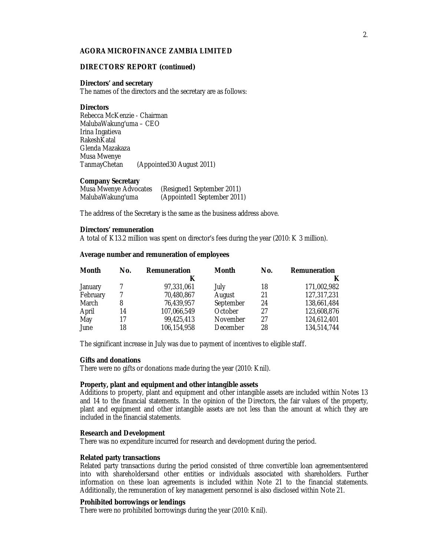#### **DIRECTORS' REPORT (continued)**

#### **Directors' and secretary**

The names of the directors and the secretary are as follows:

#### **Directors**

Rebecca McKenzie - Chairman MalubaWakung'uma – CEO Irina Ingatieva **RakeshKatal** Glenda Mazakaza Musa Mwenye<br>TanmayChetan (Appointed30 August 2011)

#### **Company Secretary**

| Musa Mwenye Advocates | (Resigned1 September 2011)  |
|-----------------------|-----------------------------|
| MalubaWakung'uma      | (Appointed1 September 2011) |

The address of the Secretary is the same as the business address above.

#### **Directors' remuneration**

A total of K13.2 million was spent on director's fees during the year (2010: K 3 million).

#### **Average number and remuneration of employees**

| Month    | No. | Remuneration | <b>Month</b> | No. | Remuneration |
|----------|-----|--------------|--------------|-----|--------------|
|          |     |              |              |     |              |
| January  |     | 97,331,061   | July         | 18  | 171,002,982  |
| February |     | 70,480,867   | August       | 21  | 127,317,231  |
| March    | 8   | 76,439,957   | September    | 24  | 138,661,484  |
| April    | 14  | 107,066,549  | October      | 27  | 123,608,876  |
| May      | 17  | 99,425,413   | November     | 27  | 124,612,401  |
| June     | 18  | 106,154,958  | December     | 28  | 134,514,744  |

The significant increase in July was due to payment of incentives to eligible staff.

#### **Gifts and donations**

There were no gifts or donations made during the year (2010: Knil).

#### **Property, plant and equipment and other intangible assets**

Additions to property, plant and equipment and other intangible assets are included within Notes 13 and 14 to the financial statements. In the opinion of the Directors, the fair values of the property, plant and equipment and other intangible assets are not less than the amount at which they are included in the financial statements.

#### **Research and Development**

There was no expenditure incurred for research and development during the period.

#### **Related party transactions**

Related party transactions during the period consisted of three convertible loan agreementsentered into with shareholdersand other entities or individuals associated with shareholders. Further information on these loan agreements is included within Note 21 to the financial statements. Additionally, the remuneration of key management personnel is also disclosed within Note 21.

## **Prohibited borrowings or lendings**

There were no prohibited borrowings during the year (2010: Knil).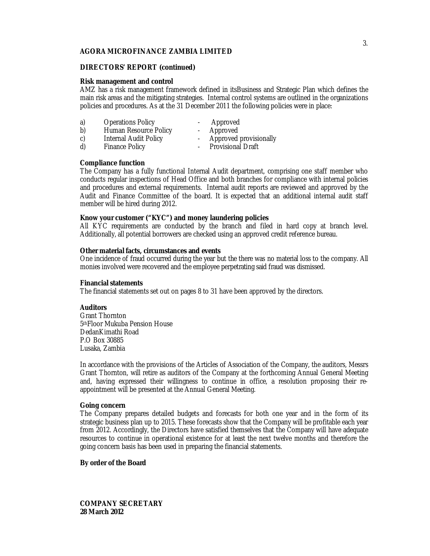#### **DIRECTORS' REPORT (continued)**

#### **Risk management and control**

AMZ has a risk management framework defined in itsBusiness and Strategic Plan which defines the main risk areas and the mitigating strategies. Internal control systems are outlined in the organizations policies and procedures. As at the 31 December 2011 the following policies were in place:

- 
- a) Operations Policy  **Approved**<br>b) Human Resource Policy Approved b) Human Resource Policy - Approved<br>c) Internal Audit Policy - Approved provisionally
	-
	-
- c) Internal Audit Policy<br>d) Finance Policy
- Provisional Draft
- 

## **Compliance function**

The Company has a fully functional Internal Audit department, comprising one staff member who conducts regular inspections of Head Office and both branches for compliance with internal policies and procedures and external requirements. Internal audit reports are reviewed and approved by the Audit and Finance Committee of the board. It is expected that an additional internal audit staff member will be hired during 2012.

## **Know your customer ("KYC") and money laundering policies**

All KYC requirements are conducted by the branch and filed in hard copy at branch level. Additionally, all potential borrowers are checked using an approved credit reference bureau.

## **Other material facts, circumstances and events**

One incidence of fraud occurred during the year but the there was no material loss to the company. All monies involved were recovered and the employee perpetrating said fraud was dismissed.

#### **Financial statements**

The financial statements set out on pages 8 to 31 have been approved by the directors.

## **Auditors**

Grant Thornton 5thFloor Mukuba Pension House DedanKimathi Road P.O Box 30885 Lusaka, Zambia

In accordance with the provisions of the Articles of Association of the Company, the auditors, Messrs Grant Thornton, will retire as auditors of the Company at the forthcoming Annual General Meeting and, having expressed their willingness to continue in office, a resolution proposing their reappointment will be presented at the Annual General Meeting.

## **Going concern**

The Company prepares detailed budgets and forecasts for both one year and in the form of its strategic business plan up to 2015. These forecasts show that the Company will be profitable each year from 2012. Accordingly, the Directors have satisfied themselves that the Company will have adequate resources to continue in operational existence for at least the next twelve months and therefore the going concern basis has been used in preparing the financial statements.

#### **By order of the Board**

**COMPANY SECRETARY 28 March 2012**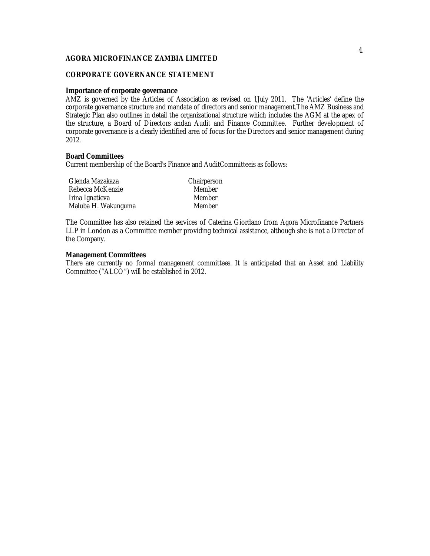## **CORPORATE GOVERNANCE STATEMENT**

#### **Importance of corporate governance**

AMZ is governed by the Articles of Association as revised on 1July 2011. The 'Articles' define the corporate governance structure and mandate of directors and senior management.The AMZ Business and Strategic Plan also outlines in detail the organizational structure which includes the AGM at the apex of the structure, a Board of Directors andan Audit and Finance Committee. Further development of corporate governance is a clearly identified area of focus for the Directors and senior management during 2012.

## **Board Committees**

Current membership of the Board's Finance and AuditCommitteeis as follows:

| Glenda Mazakaza     | Chairperson |
|---------------------|-------------|
| Rebecca McKenzie    | Member      |
| Irina Ignatieva     | Member      |
| Maluba H. Wakunguma | Member      |

The Committee has also retained the services of Caterina Giordano from Agora Microfinance Partners LLP in London as a Committee member providing technical assistance, although she is not a Director of the Company.

## **Management Committees**

There are currently no formal management committees. It is anticipated that an Asset and Liability Committee ("ALCO") will be established in 2012.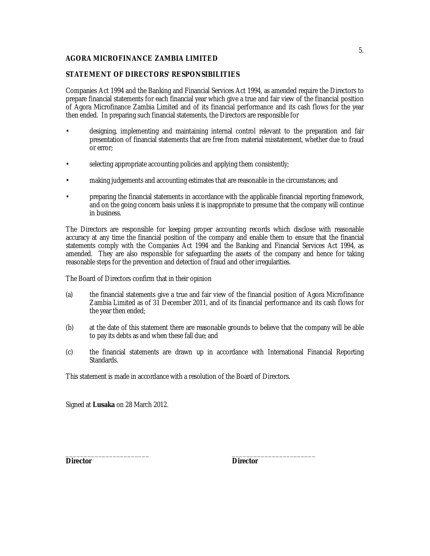## **STATEMENT OF DIRECTORS' RESPONSIBILITIES**

Companies Act 1994 and the Banking and Financial Services Act 1994, as amended require the Directors to prepare financial statements for each financial year which give a true and fair view of the financial position of Agora Microfinance Zambia Limited and of its financial performance and its cash flows for the year then ended. In preparing such financial statements, the Directors are responsible for

- designing, implementing and maintaining internal control relevant to the preparation and fair presentation of financial statements that are free from material misstatement, whether due to fraud or error;
- selecting appropriate accounting policies and applying them consistently;
- making judgements and accounting estimates that are reasonable in the circumstances; and
- preparing the financial statements in accordance with the applicable financial reporting framework, and on the going concern basis unless it is inappropriate to presume that the company will continue in business.

The Directors are responsible for keeping proper accounting records which disclose with reasonable accuracy at any time the financial position of the company and enable them to ensure that the financial statements comply with the Companies Act 1994 and the Banking and Financial Services Act 1994, as amended. They are also responsible for safeguarding the assets of the company and hence for taking reasonable steps for the prevention and detection of fraud and other irregularities.

The Board of Directors confirm that in their opinion

- (a) the financial statements give a true and fair view of the financial position of Agora Microfinance Zambia Limited as of 31 December 2011, and of its financial performance and its cash flows for the year then ended;
- (b) at the date of this statement there are reasonable grounds to believe that the company will be able to pay its debts as and when these fall due; and
- (c) the financial statements are drawn up in accordance with International Financial Reporting Standards.

This statement is made in accordance with a resolution of the Board of Directors.

Signed at **Lusaka** on 28 March 2012.

**Director Director**

\_\_\_\_\_\_\_\_\_\_\_\_\_\_\_\_\_\_\_\_\_\_\_ \_\_\_\_\_\_\_\_\_\_\_\_\_\_\_\_\_\_\_\_\_\_\_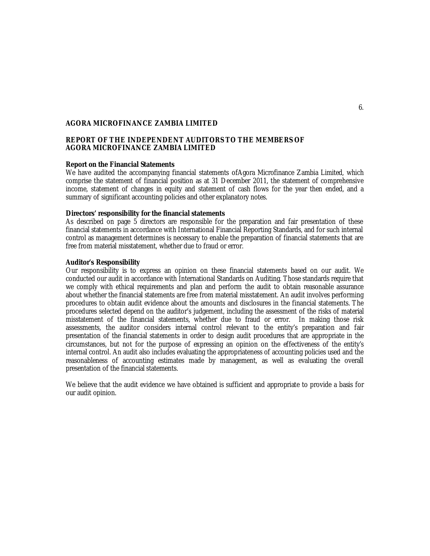## **REPORT OF THE INDEPENDENT AUDITORS TO THE MEMBERS OF AGORA MICROFINANCE ZAMBIA LIMITED**

#### **Report on the Financial Statements**

We have audited the accompanying financial statements ofAgora Microfinance Zambia Limited, which comprise the statement of financial position as at 31 December 2011, the statement of comprehensive income, statement of changes in equity and statement of cash flows for the year then ended, and a summary of significant accounting policies and other explanatory notes.

#### **Directors' responsibility for the financial statements**

As described on page 5 directors are responsible for the preparation and fair presentation of these financial statements in accordance with International Financial Reporting Standards, and for such internal control as management determines is necessary to enable the preparation of financial statements that are free from material misstatement, whether due to fraud or error.

## **Auditor's Responsibility**

Our responsibility is to express an opinion on these financial statements based on our audit. We conducted our audit in accordance with International Standards on Auditing. Those standards require that we comply with ethical requirements and plan and perform the audit to obtain reasonable assurance about whether the financial statements are free from material misstatement. An audit involves performing procedures to obtain audit evidence about the amounts and disclosures in the financial statements. The procedures selected depend on the auditor's judgement, including the assessment of the risks of material misstatement of the financial statements, whether due to fraud or error. In making those risk assessments, the auditor considers internal control relevant to the entity's preparation and fair presentation of the financial statements in order to design audit procedures that are appropriate in the circumstances, but not for the purpose of expressing an opinion on the effectiveness of the entity's internal control. An audit also includes evaluating the appropriateness of accounting policies used and the reasonableness of accounting estimates made by management, as well as evaluating the overall presentation of the financial statements.

We believe that the audit evidence we have obtained is sufficient and appropriate to provide a basis for our audit opinion.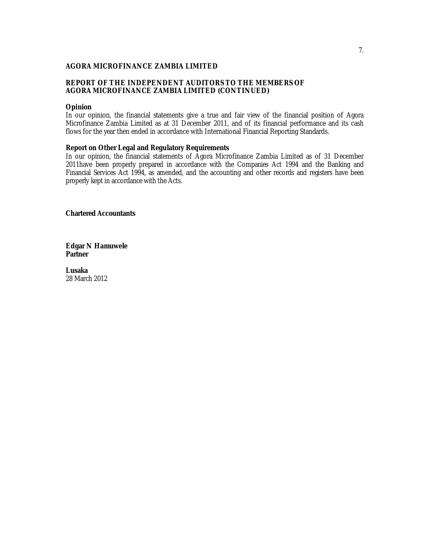## **REPORT OF THE INDEPENDENT AUDITORS TO THE MEMBERS OF AGORA MICROFINANCE ZAMBIA LIMITED (CONTINUED)**

#### **Opinion**

In our opinion, the financial statements give a true and fair view of the financial position of Agora Microfinance Zambia Limited as at 31 December 2011, and of its financial performance and its cash flows for the year then ended in accordance with International Financial Reporting Standards.

## **Report on Other Legal and Regulatory Requirements**

In our opinion, the financial statements of Agora Microfinance Zambia Limited as of 31 December 2011have been properly prepared in accordance with the Companies Act 1994 and the Banking and Financial Services Act 1994, as amended, and the accounting and other records and registers have been properly kept in accordance with the Acts.

**Chartered Accountants**

**Edgar N Hamuwele Partner**

**Lusaka** 28 March 2012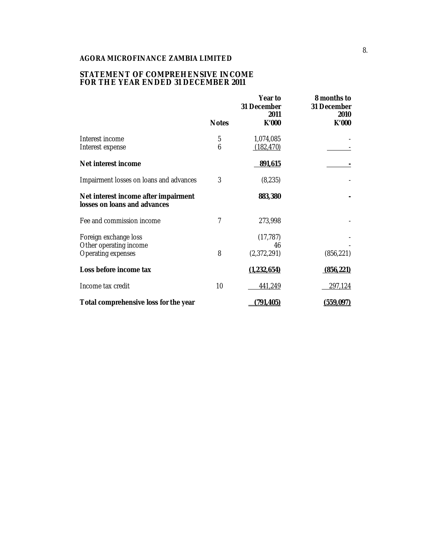## **STATEMENT OF COMPREHENSIVE INCOME FOR THE YEAR ENDED 31 DECEMBER 2011**

|                                                                      | <b>Notes</b> | Year to<br>31 December<br>2011<br>K'000 | 8 months to<br>31 December<br>2010<br>K'000 |
|----------------------------------------------------------------------|--------------|-----------------------------------------|---------------------------------------------|
|                                                                      |              |                                         |                                             |
| Interest income<br>Interest expense                                  | 5<br>6       | 1,074,085<br>(182, 470)                 |                                             |
| Net interest income                                                  |              | 891,615                                 |                                             |
| Impairment losses on loans and advances                              | 3            | (8, 235)                                |                                             |
| Net interest income after impairment<br>losses on loans and advances |              | 883,380                                 |                                             |
| Fee and commission income                                            | 7            | 273,998                                 |                                             |
| Foreign exchange loss                                                |              | (17, 787)                               |                                             |
| Other operating income<br>Operating expenses                         | 8            | 46<br>(2,372,291)                       | (856, 221)                                  |
| Loss before income tax                                               |              | (1,232,654)                             | (856, 221)                                  |
| Income tax credit                                                    | 10           | 441,249                                 | 297,124                                     |
| Total comprehensive loss for the year                                |              | (791, 405)                              | (559, 097)                                  |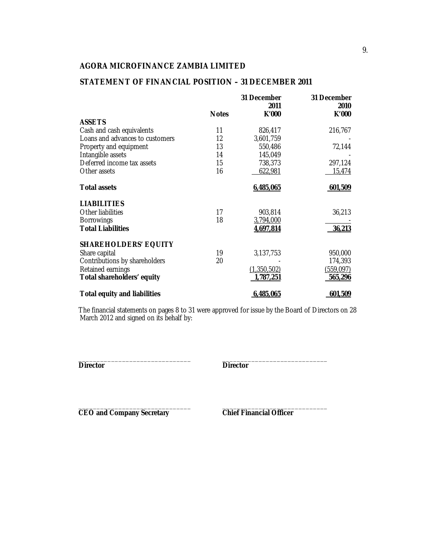# **STATEMENT OF FINANCIAL POSITION – 31 DECEMBER 2011**

|                                     |              | 31 December<br>2011 | 31 December<br>2010 |
|-------------------------------------|--------------|---------------------|---------------------|
|                                     | <b>Notes</b> | K'000               | K'000               |
| <b>ASSETS</b>                       |              |                     |                     |
| Cash and cash equivalents           | 11           | 826,417             | 216,767             |
| Loans and advances to customers     | 12           | 3,601,759           |                     |
| Property and equipment              | 13           | 550,486             | 72,144              |
| Intangible assets                   | 14           | 145,049             |                     |
| Deferred income tax assets          | 15           | 738,373             | 297,124             |
| Other assets                        | 16           | 622,981             | 15,474              |
| <b>Total assets</b>                 |              | 6,485,065           | 601,509             |
| <b>LIABILITIES</b>                  |              |                     |                     |
| Other liabilities                   | 17           | 903,814             | 36,213              |
| <b>Borrowings</b>                   | 18           | 3,794,000           |                     |
| <b>Total Liabilities</b>            |              | 4,697,814           | 36,213              |
| <b>SHAREHOLDERS' EQUITY</b>         |              |                     |                     |
| Share capital                       | 19           | 3,137,753           | 950,000             |
| Contributions by shareholders       | 20           |                     | 174,393             |
| Retained earnings                   |              | (1,350,502)         | (559, 097)          |
| Total shareholders' equity          |              | 1,787,251           | 565,296             |
| <b>Total equity and liabilities</b> |              | 6,485,065           | 601,509             |

The financial statements on pages 8 to 31 were approved for issue by the Board of Directors on 28 March 2012 and signed on its behalf by:

\_\_\_\_\_\_\_\_\_\_\_\_\_\_\_\_\_\_\_\_\_\_\_\_\_\_\_\_\_\_\_ \_\_\_\_\_\_\_\_\_\_\_\_\_\_\_\_\_\_\_\_\_\_\_\_\_\_\_\_\_ **Director Director**

\_\_\_\_\_\_\_\_\_\_\_\_\_\_\_\_\_\_\_\_\_\_\_\_\_\_\_\_\_\_\_ \_\_\_\_\_\_\_\_\_\_\_\_\_\_\_\_\_\_\_\_\_\_\_\_\_\_\_\_\_ **CEO and Company Secretary Chief Financial Officer**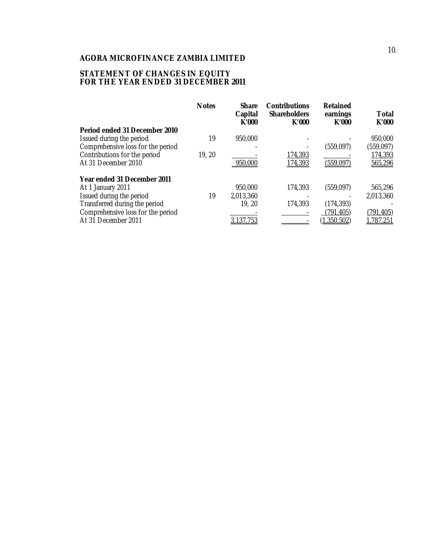## **STATEMENT OF CHANGES IN EQUITY FOR THE YEAR ENDED 31 DECEMBER 2011**

|                                   | <b>Notes</b> | <b>Share</b><br>Capital<br>K'000 | <b>Contributions</b><br><b>Shareholders</b><br>K'000 | <b>Retained</b><br>earnings<br>K'000 | Total<br>K'000 |
|-----------------------------------|--------------|----------------------------------|------------------------------------------------------|--------------------------------------|----------------|
| Period ended 31 December 2010     |              |                                  |                                                      |                                      |                |
| Issued during the period          | 19           | 950,000                          |                                                      |                                      | 950,000        |
| Comprehensive loss for the period |              |                                  |                                                      | (559,097)                            | (559, 097)     |
| Contributions for the period      | 19, 20       |                                  | 174,393                                              |                                      | 174,393        |
| At 31 December 2010               |              | 950,000                          | 174,393                                              | (559, 097)                           | 565,296        |
| Year ended 31 December 2011       |              |                                  |                                                      |                                      |                |
| At 1 January 2011                 |              | 950,000                          | 174,393                                              | (559,097)                            | 565,296        |
| Issued during the period          | 19           | 2,013,360                        |                                                      |                                      | 2,013,360      |
| Transferred during the period     |              | 19, 20                           | 174,393                                              | (174, 393)                           |                |
| Comprehensive loss for the period |              |                                  |                                                      | (791,405)                            | (791,405)      |
| At 31 December 2011               |              | 137.7 <sub>b</sub>               |                                                      | 1.350.502                            | 1.787.251      |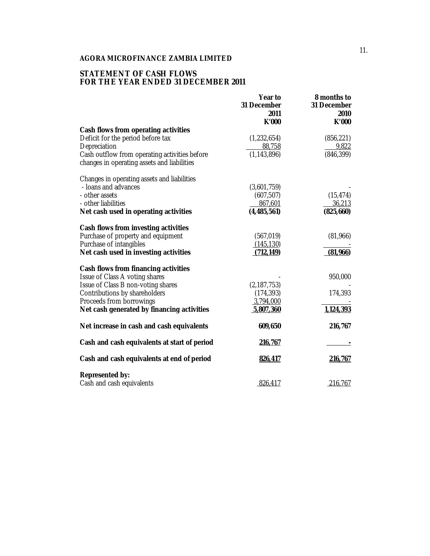## **STATEMENT OF CASH FLOWS FOR THE YEAR ENDED 31 DECEMBER 2011**

|                                                                                              | Year to<br>31 December<br>2011<br>K'000 | 8 months to<br>31 December<br>2010<br>K'000 |
|----------------------------------------------------------------------------------------------|-----------------------------------------|---------------------------------------------|
| Cash flows from operating activities                                                         |                                         |                                             |
| Deficit for the period before tax                                                            | (1, 232, 654)                           | (856, 221)                                  |
| Depreciation                                                                                 | 88,758                                  | 9,822                                       |
| Cash outflow from operating activities before<br>changes in operating assets and liabilities | (1, 143, 896)                           | (846, 399)                                  |
| Changes in operating assets and liabilities                                                  |                                         |                                             |
| - Ioans and advances                                                                         | (3,601,759)                             |                                             |
| - other assets                                                                               | (607, 507)                              | (15, 474)                                   |
| - other liabilities                                                                          | 867,601                                 | 36,213                                      |
| Net cash used in operating activities                                                        | (4,485,561)                             | (825, 660)                                  |
| Cash flows from investing activities                                                         |                                         |                                             |
| Purchase of property and equipment                                                           | (567, 019)                              | (81,966)                                    |
| Purchase of intangibles                                                                      | (145, 130)                              |                                             |
| Net cash used in investing activities                                                        | (712, 149)                              | (81,966)                                    |
| Cash flows from financing activities                                                         |                                         |                                             |
| Issue of Class A voting shares                                                               |                                         | 950,000                                     |
| Issue of Class B non-voting shares                                                           | (2, 187, 753)                           |                                             |
| Contributions by shareholders                                                                | (174, 393)                              | 174,393                                     |
| Proceeds from borrowings                                                                     | 3,794,000                               |                                             |
| Net cash generated by financing activities                                                   | 5,807,360                               | 1,124,393                                   |
| Net increase in cash and cash equivalents                                                    | 609,650                                 | 216,767                                     |
| Cash and cash equivalents at start of period                                                 | 216,767                                 |                                             |
| Cash and cash equivalents at end of period                                                   | 826,417                                 | 216,767                                     |
| Represented by:                                                                              |                                         |                                             |
| Cash and cash equivalents                                                                    | 826,417                                 | 216,767                                     |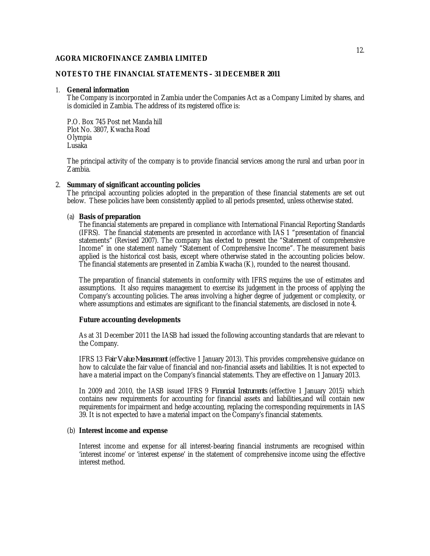## **NOTES TO THE FINANCIAL STATEMENTS – 31 DECEMBER 2011**

#### 1. **General information**

The Company is incorporated in Zambia under the Companies Act as a Company Limited by shares, and is domiciled in Zambia. The address of its registered office is:

P.O. Box 745 Post net Manda hill Plot No. 3807, Kwacha Road **Olympia** Lusaka

The principal activity of the company is to provide financial services among the rural and urban poor in Zambia.

## 2. **Summary of significant accounting policies**

The principal accounting policies adopted in the preparation of these financial statements are set out below. These policies have been consistently applied to all periods presented, unless otherwise stated.

## (a) **Basis of preparation**

The financial statements are prepared in compliance with International Financial Reporting Standards (IFRS). The financial statements are presented in accordance with IAS 1 "presentation of financial statements" (Revised 2007). The company has elected to present the "Statement of comprehensive Income" in one statement namely "Statement of Comprehensive Income". The measurement basis applied is the historical cost basis, except where otherwise stated in the accounting policies below. The financial statements are presented in Zambia Kwacha (K), rounded to the nearest thousand.

The preparation of financial statements in conformity with IFRS requires the use of estimates and assumptions. It also requires management to exercise its judgement in the process of applying the Company's accounting policies. The areas involving a higher degree of judgement or complexity, or where assumptions and estimates are significant to the financial statements, are disclosed in note 4.

#### **Future accounting developments**

As at 31 December 2011 the IASB had issued the following accounting standards that are relevant to the Company.

IFRS 13 *Fair Value Measurement* (effective 1 January 2013). This provides comprehensive guidance on how to calculate the fair value of financial and non-financial assets and liabilities. It is not expected to have a material impact on the Company's financial statements. They are effective on 1 January 2013.

In 2009 and 2010, the IASB issued IFRS 9 *Financial Instruments* (effective 1 January 2015) which contains new requirements for accounting for financial assets and liabilities,and will contain new requirements for impairment and hedge accounting, replacing the corresponding requirements in IAS 39. It is not expected to have a material impact on the Company's financial statements.

## (b) **Interest income and expense**

Interest income and expense for all interest-bearing financial instruments are recognised within 'interest income' or 'interest expense' in the statement of comprehensive income using the effective interest method.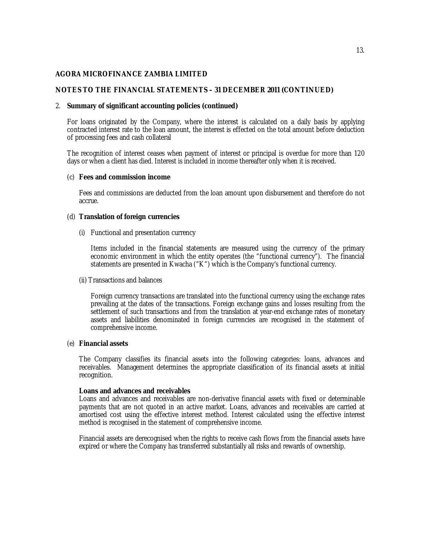## **NOTES TO THE FINANCIAL STATEMENTS – 31 DECEMBER 2011 (CONTINUED)**

#### 2. **Summary of significant accounting policies (continued)**

For loans originated by the Company, where the interest is calculated on a daily basis by applying contracted interest rate to the loan amount, the interest is effected on the total amount before deduction of processing fees and cash collateral

The recognition of interest ceases when payment of interest or principal is overdue for more than 120 days or when a client has died. Interest is included in income thereafter only when it is received.

#### (c) **Fees and commission income**

Fees and commissions are deducted from the loan amount upon disbursement and therefore do not accrue.

#### (d) **Translation of foreign currencies**

(i) Functional and presentation currency

Items included in the financial statements are measured using the currency of the primary economic environment in which the entity operates (the "functional currency"). The financial statements are presented in Kwacha ("K") which is the Company's functional currency.

(ii) Transactions and balances

Foreign currency transactions are translated into the functional currency using the exchange rates prevailing at the dates of the transactions. Foreign exchange gains and losses resulting from the settlement of such transactions and from the translation at year-end exchange rates of monetary assets and liabilities denominated in foreign currencies are recognised in the statement of comprehensive income.

## (e) **Financial assets**

The Company classifies its financial assets into the following categories: loans, advances and receivables. Management determines the appropriate classification of its financial assets at initial recognition.

#### **Loans and advances and receivables**

Loans and advances and receivables are non-derivative financial assets with fixed or determinable payments that are not quoted in an active market. Loans, advances and receivables are carried at amortised cost using the effective interest method. Interest calculated using the effective interest method is recognised in the statement of comprehensive income.

Financial assets are derecognised when the rights to receive cash flows from the financial assets have expired or where the Company has transferred substantially all risks and rewards of ownership.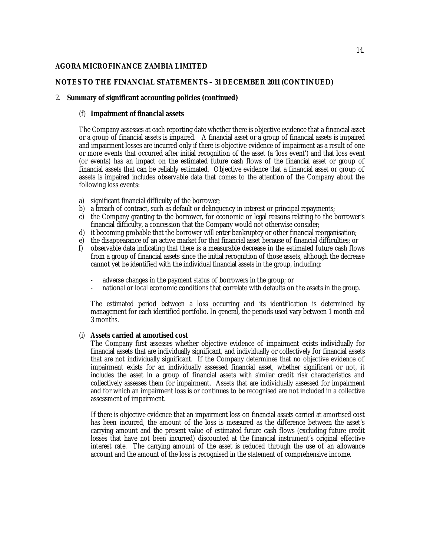## **NOTES TO THE FINANCIAL STATEMENTS – 31 DECEMBER 2011 (CONTINUED)**

## 2. **Summary of significant accounting policies (continued)**

## (f) **Impairment of financial assets**

The Company assesses at each reporting date whether there is objective evidence that a financial asset or a group of financial assets is impaired. A financial asset or a group of financial assets is impaired and impairment losses are incurred only if there is objective evidence of impairment as a result of one or more events that occurred after initial recognition of the asset (a 'loss event') and that loss event (or events) has an impact on the estimated future cash flows of the financial asset or group of financial assets that can be reliably estimated. Objective evidence that a financial asset or group of assets is impaired includes observable data that comes to the attention of the Company about the following loss events:

- a) significant financial difficulty of the borrower;
- b) a breach of contract, such as default or delinquency in interest or principal repayments;
- c) the Company granting to the borrower, for economic or legal reasons relating to the borrower's financial difficulty, a concession that the Company would not otherwise consider;
- d) it becoming probable that the borrower will enter bankruptcy or other financial reorganisation;<br>e) the disappearance of an active market for that financial asset because of financial difficulties; or
- e) the disappearance of an active market for that financial asset because of financial difficulties; or <br>f) observable data indicating that there is a measurable decrease in the estimated future cash flow
- f) observable data indicating that there is a measurable decrease in the estimated future cash flows from a group of financial assets since the initial recognition of those assets, although the decrease cannot yet be identified with the individual financial assets in the group, including:
	- adverse changes in the payment status of borrowers in the group; or
	- national or local economic conditions that correlate with defaults on the assets in the group.

The estimated period between a loss occurring and its identification is determined by management for each identified portfolio. In general, the periods used vary between 1 month and 3 months.

## (i) **Assets carried at amortised cost**

The Company first assesses whether objective evidence of impairment exists individually for financial assets that are individually significant, and individually or collectively for financial assets that are not individually significant. If the Company determines that no objective evidence of impairment exists for an individually assessed financial asset, whether significant or not, it includes the asset in a group of financial assets with similar credit risk characteristics and collectively assesses them for impairment. Assets that are individually assessed for impairment and for which an impairment loss is or continues to be recognised are not included in a collective assessment of impairment.

If there is objective evidence that an impairment loss on financial assets carried at amortised cost has been incurred, the amount of the loss is measured as the difference between the asset's carrying amount and the present value of estimated future cash flows (excluding future credit losses that have not been incurred) discounted at the financial instrument's original effective interest rate. The carrying amount of the asset is reduced through the use of an allowance account and the amount of the loss is recognised in the statement of comprehensive income.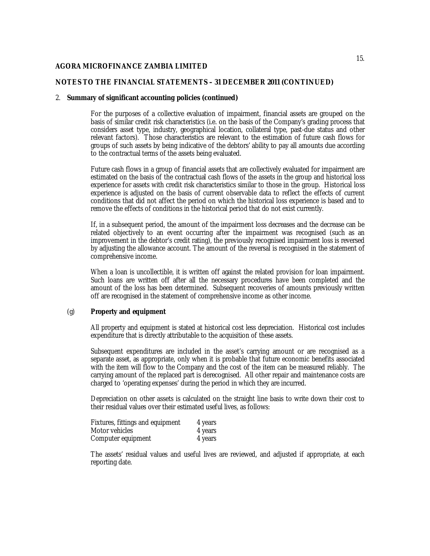## **NOTES TO THE FINANCIAL STATEMENTS – 31 DECEMBER 2011 (CONTINUED)**

#### 2. **Summary of significant accounting policies (continued)**

For the purposes of a collective evaluation of impairment, financial assets are grouped on the basis of similar credit risk characteristics (i.e. on the basis of the Company's grading process that considers asset type, industry, geographical location, collateral type, past-due status and other relevant factors). Those characteristics are relevant to the estimation of future cash flows for groups of such assets by being indicative of the debtors' ability to pay all amounts due according to the contractual terms of the assets being evaluated.

Future cash flows in a group of financial assets that are collectively evaluated for impairment are estimated on the basis of the contractual cash flows of the assets in the group and historical loss experience for assets with credit risk characteristics similar to those in the group. Historical loss experience is adjusted on the basis of current observable data to reflect the effects of current conditions that did not affect the period on which the historical loss experience is based and to remove the effects of conditions in the historical period that do not exist currently.

If, in a subsequent period, the amount of the impairment loss decreases and the decrease can be related objectively to an event occurring after the impairment was recognised (such as an improvement in the debtor's credit rating), the previously recognised impairment loss is reversed by adjusting the allowance account. The amount of the reversal is recognised in the statement of comprehensive income.

When a loan is uncollectible, it is written off against the related provision for loan impairment. Such loans are written off after all the necessary procedures have been completed and the amount of the loss has been determined. Subsequent recoveries of amounts previously written off are recognised in the statement of comprehensive income as other income.

#### (g) **Property and equipment**

All property and equipment is stated at historical cost less depreciation. Historical cost includes expenditure that is directly attributable to the acquisition of these assets.

Subsequent expenditures are included in the asset's carrying amount or are recognised as a separate asset, as appropriate, only when it is probable that future economic benefits associated with the item will flow to the Company and the cost of the item can be measured reliably. The carrying amount of the replaced part is derecognised. All other repair and maintenance costs are charged to 'operating expenses' during the period in which they are incurred.

Depreciation on other assets is calculated on the straight line basis to write down their cost to their residual values over their estimated useful lives, as follows:

| Fixtures, fittings and equipment | 4 years |
|----------------------------------|---------|
| Motor vehicles                   | 4 years |
| Computer equipment               | 4 years |

The assets' residual values and useful lives are reviewed, and adjusted if appropriate, at each reporting date.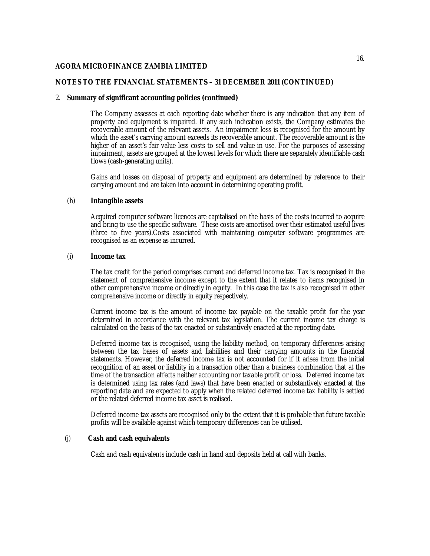## **NOTES TO THE FINANCIAL STATEMENTS – 31 DECEMBER 2011 (CONTINUED)**

#### 2. **Summary of significant accounting policies (continued)**

The Company assesses at each reporting date whether there is any indication that any item of property and equipment is impaired. If any such indication exists, the Company estimates the recoverable amount of the relevant assets. An impairment loss is recognised for the amount by which the asset's carrying amount exceeds its recoverable amount. The recoverable amount is the higher of an asset's fair value less costs to sell and value in use. For the purposes of assessing impairment, assets are grouped at the lowest levels for which there are separately identifiable cash flows (cash-generating units).

Gains and losses on disposal of property and equipment are determined by reference to their carrying amount and are taken into account in determining operating profit.

## (h) **Intangible assets**

Acquired computer software licences are capitalised on the basis of the costs incurred to acquire and bring to use the specific software. These costs are amortised over their estimated useful lives (three to five years).Costs associated with maintaining computer software programmes are recognised as an expense as incurred.

## (i) **Income tax**

The tax credit for the period comprises current and deferred income tax. Tax is recognised in the statement of comprehensive income except to the extent that it relates to items recognised in other comprehensive income or directly in equity. In this case the tax is also recognised in other comprehensive income or directly in equity respectively.

Current income tax is the amount of income tax payable on the taxable profit for the year determined in accordance with the relevant tax legislation. The current income tax charge is calculated on the basis of the tax enacted or substantively enacted at the reporting date.

Deferred income tax is recognised, using the liability method, on temporary differences arising between the tax bases of assets and liabilities and their carrying amounts in the financial statements. However, the deferred income tax is not accounted for if it arises from the initial recognition of an asset or liability in a transaction other than a business combination that at the time of the transaction affects neither accounting nor taxable profit or loss. Deferred income tax is determined using tax rates (and laws) that have been enacted or substantively enacted at the reporting date and are expected to apply when the related deferred income tax liability is settled or the related deferred income tax asset is realised.

Deferred income tax assets are recognised only to the extent that it is probable that future taxable profits will be available against which temporary differences can be utilised.

## (j) **Cash and cash equivalents**

Cash and cash equivalents include cash in hand and deposits held at call with banks.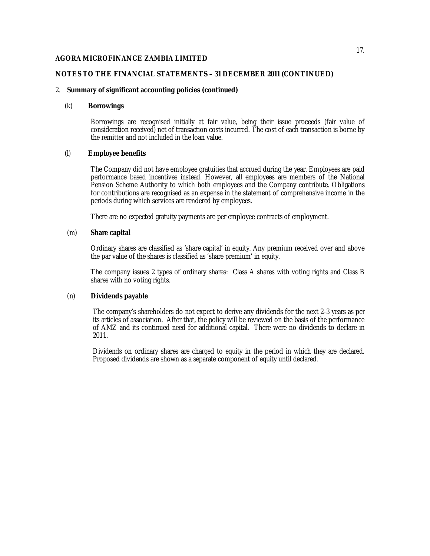## **NOTES TO THE FINANCIAL STATEMENTS – 31 DECEMBER 2011 (CONTINUED)**

## 2. **Summary of significant accounting policies (continued)**

## (k) **Borrowings**

Borrowings are recognised initially at fair value, being their issue proceeds (fair value of consideration received) net of transaction costs incurred. The cost of each transaction is borne by the remitter and not included in the loan value.

## (l) **Employee benefits**

The Company did not have employee gratuities that accrued during the year. Employees are paid performance based incentives instead. However, all employees are members of the National Pension Scheme Authority to which both employees and the Company contribute. Obligations for contributions are recognised as an expense in the statement of comprehensive income in the periods during which services are rendered by employees.

There are no expected gratuity payments are per employee contracts of employment.

## (m) **Share capital**

Ordinary shares are classified as 'share capital' in equity. Any premium received over and above the par value of the shares is classified as 'share premium' in equity.

The company issues 2 types of ordinary shares: Class A shares with voting rights and Class B shares with no voting rights.

## (n) **Dividends payable**

The company's shareholders do not expect to derive any dividends for the next 2-3 years as per its articles of association. After that, the policy will be reviewed on the basis of the performance of AMZ and its continued need for additional capital. There were no dividends to declare in 2011.

Dividends on ordinary shares are charged to equity in the period in which they are declared. Proposed dividends are shown as a separate component of equity until declared.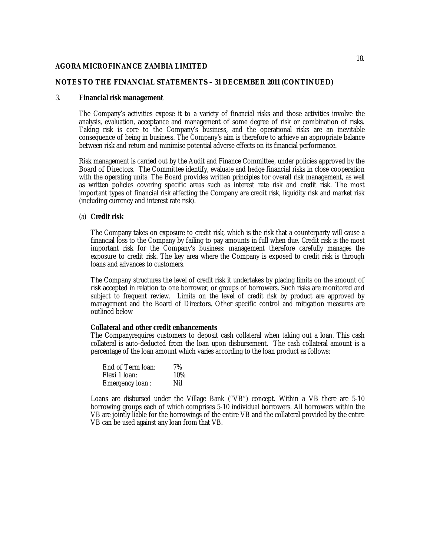## **NOTES TO THE FINANCIAL STATEMENTS – 31 DECEMBER 2011 (CONTINUED)**

#### 3. **Financial risk management**

The Company's activities expose it to a variety of financial risks and those activities involve the analysis, evaluation, acceptance and management of some degree of risk or combination of risks. Taking risk is core to the Company's business, and the operational risks are an inevitable consequence of being in business. The Company's aim is therefore to achieve an appropriate balance between risk and return and minimise potential adverse effects on its financial performance.

Risk management is carried out by the Audit and Finance Committee, under policies approved by the Board of Directors. The Committee identify, evaluate and hedge financial risks in close cooperation with the operating units. The Board provides written principles for overall risk management, as well as written policies covering specific areas such as interest rate risk and credit risk. The most important types of financial risk affecting the Company are credit risk, liquidity risk and market risk (including currency and interest rate risk).

#### (a) **Credit risk**

The Company takes on exposure to credit risk, which is the risk that a counterparty will cause a financial loss to the Company by failing to pay amounts in full when due. Credit risk is the most important risk for the Company's business: management therefore carefully manages the exposure to credit risk. The key area where the Company is exposed to credit risk is through loans and advances to customers.

The Company structures the level of credit risk it undertakes by placing limits on the amount of risk accepted in relation to one borrower, or groups of borrowers. Such risks are monitored and subject to frequent review. Limits on the level of credit risk by product are approved by management and the Board of Directors. Other specific control and mitigation measures are outlined below

#### **Collateral and other credit enhancements**

The Companyrequires customers to deposit cash collateral when taking out a loan. This cash collateral is auto-deducted from the loan upon disbursement. The cash collateral amount is a percentage of the loan amount which varies according to the loan product as follows:

| End of Term Ioan: | 7%  |
|-------------------|-----|
| Flexi 1 Ioan:     | 10% |
| Emergency loan:   | Nil |

Loans are disbursed under the Village Bank ("VB") concept. Within a VB there are 5-10 borrowing groups each of which comprises 5-10 individual borrowers. All borrowers within the VB are jointly liable for the borrowings of the entire VB and the collateral provided by the entire VB can be used against any loan from that VB.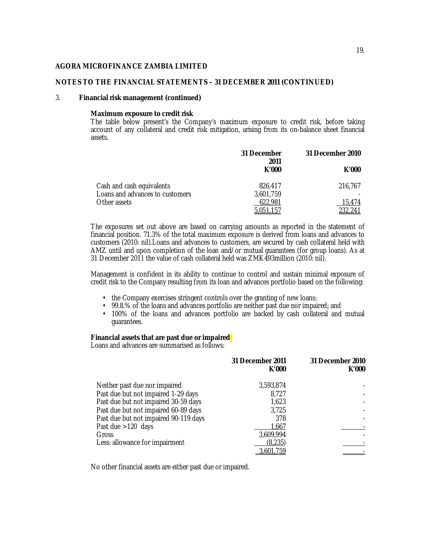## **NOTES TO THE FINANCIAL STATEMENTS – 31 DECEMBER 2011 (CONTINUED)**

#### 3. **Financial risk management (continued)**

#### **Maximum exposure to credit risk**

The table below present's the Company's maximum exposure to credit risk, before taking account of any collateral and credit risk mitigation, arising from its on-balance sheet financial assets.

|                                 | 31 December<br>2011 | 31 December 2010 |
|---------------------------------|---------------------|------------------|
|                                 | K'000               | K'000            |
| Cash and cash equivalents       | 826,417             | 216,767          |
| Loans and advances to customers | 3.601.759           |                  |
| Other assets                    | 622,981             | 15.474           |
|                                 | 5,051,157           | 232,241          |

The exposures set out above are based on carrying amounts as reported in the statement of financial position. 71.3% of the total maximum exposure is derived from loans and advances to customers (2010: nil).Loans and advances to customers, are secured by cash collateral held with AMZ until and upon completion of the loan and/or mutual guarantees (for group loans). As at 31 December 2011 the value of cash collateral held was ZMK493million (2010: nil).

Management is confident in its ability to continue to control and sustain minimal exposure of credit risk to the Company resulting from its loan and advances portfolio based on the following:

- the Company exercises stringent controls over the granting of new loans;
- 99.8.% of the loans and advances portfolio are neither past due nor impaired; and
- 100% of the loans and advances portfolio are backed by cash collateral and mutual guarantees.

#### **Financial assets that are past due or impaired**

Loans and advances are summarised as follows:

|                                       | 31 December 2011<br>K'000 | 31 December 2010<br>K'000 |
|---------------------------------------|---------------------------|---------------------------|
| Neither past due nor impaired         | 3,593,874                 |                           |
| Past due but not impaired 1-29 days   | 8,727                     |                           |
| Past due but not impaired 30-59 days  | 1,623                     |                           |
| Past due but not impaired 60-89 days  | 3,725                     |                           |
| Past due but not impaired 90-119 days | 378                       |                           |
| Past due $>120$ days                  | 1,667                     |                           |
| Gross                                 | 3,609,994                 |                           |
| Less: allowance for impairment        | (8,235)                   |                           |
|                                       | 3,601,759                 |                           |

No other financial assets are either past due or impaired.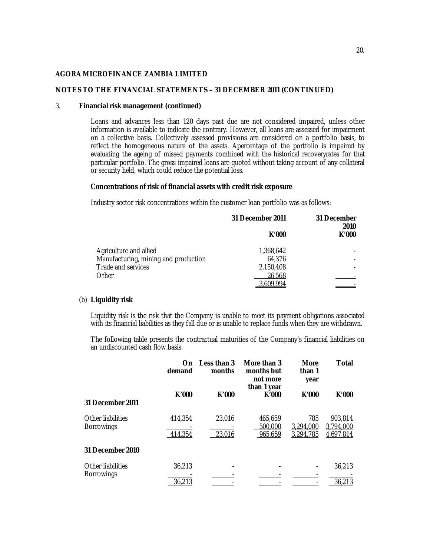## **NOTES TO THE FINANCIAL STATEMENTS – 31 DECEMBER 2011 (CONTINUED)**

#### 3. **Financial risk management (continued)**

Loans and advances less than 120 days past due are not considered impaired, unless other information is available to indicate the contrary. However, all loans are assessed for impairment on a collective basis. Collectively assessed provisions are considered on a portfolio basis, to reflect the homogeneous nature of the assets. Apercentage of the portfolio is impaired by evaluating the ageing of missed payments combined with the historical recoveryrates for that particular portfolio. The gross impaired loans are quoted without taking account of any collateral or security held, which could reduce the potential loss.

## **Concentrations of risk of financial assets with credit risk exposure**

Industry sector risk concentrations within the customer loan portfolio was as follows:

|                                      | 31 December 2011 | 31 December<br>2010 |
|--------------------------------------|------------------|---------------------|
|                                      | K'000            | K'000               |
| Agriculture and allied               | 1,368,642        |                     |
| Manufacturing, mining and production | 64,376           |                     |
| Trade and services                   | 2,150,408        |                     |
| Other                                | 26,568           |                     |
|                                      | ፣ 609.994        |                     |

# (b) **Liquidity risk**

Liquidity risk is the risk that the Company is unable to meet its payment obligations associated with its financial liabilities as they fall due or is unable to replace funds when they are withdrawn.

The following table presents the contractual maturities of the Company's financial liabilities on an undiscounted cash flow basis.

|                                        | On<br>demand            | Less than 3<br>months | More than 3<br>months but<br>not more<br>than 1 year | <b>More</b><br>than 1<br>year | Total                             |
|----------------------------------------|-------------------------|-----------------------|------------------------------------------------------|-------------------------------|-----------------------------------|
| 31 December 2011                       | K'000                   | K'000                 | K'000                                                | K'000                         | K'000                             |
| Other liabilities<br><b>Borrowings</b> | 414,354<br>414,354      | 23,016<br>23,016      | 465.659<br>500,000<br>965,659                        | 785<br>3,294,000<br>3,294,785 | 903,814<br>3,794,000<br>4,697,814 |
| 31 December 2010                       |                         |                       |                                                      |                               |                                   |
| Other liabilities<br><b>Borrowings</b> | 36,213<br><u>36,213</u> |                       |                                                      |                               | 36,213<br>36,213                  |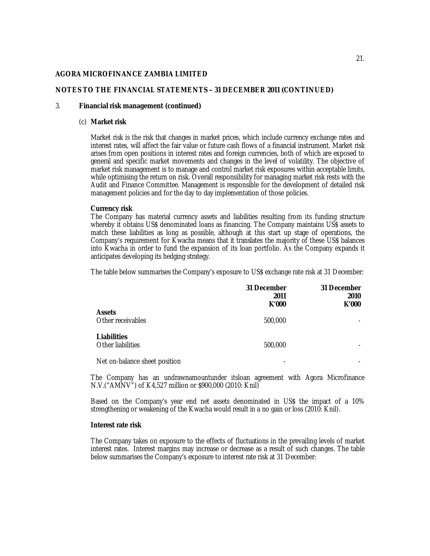## **NOTES TO THE FINANCIAL STATEMENTS – 31 DECEMBER 2011 (CONTINUED)**

#### 3. **Financial risk management (continued)**

#### (c) **Market risk**

Market risk is the risk that changes in market prices, which include currency exchange rates and interest rates, will affect the fair value or future cash flows of a financial instrument. Market risk arises from open positions in interest rates and foreign currencies, both of which are exposed to general and specific market movements and changes in the level of volatility. The objective of market risk management is to manage and control market risk exposures within acceptable limits, while optimising the return on risk. Overall responsibility for managing market risk rests with the Audit and Finance Committee. Management is responsible for the development of detailed risk management policies and for the day to day implementation of those policies.

#### **Currency risk**

The Company has material currency assets and liabilities resulting from its funding structure whereby it obtains US\$ denominated loans as financing. The Company maintains US\$ assets to match these liabilities as long as possible, although at this start up stage of operations, the Company's requirement for Kwacha means that it translates the majority of these US\$ balances into Kwacha in order to fund the expansion of its loan portfolio. As the Company expands it anticipates developing its hedging strategy.

The table below summarises the Company's exposure to US\$ exchange rate risk at 31 December:

|                                         | 31 December<br>2011<br>K'000 | 31 December<br>2010<br>K'000 |
|-----------------------------------------|------------------------------|------------------------------|
| <b>Assets</b><br>Other receivables      | 500,000                      |                              |
| <b>Liabilities</b><br>Other liabilities | 500,000                      |                              |
| Net on-balance sheet position           |                              |                              |

The Company has an undrawnamountunder itsloan agreement with Agora Microfinance N.V.("AMNV") of K4,527 million or \$900,000 (2010: Knil)

Based on the Company's year end net assets denominated in US\$ the impact of a 10% strengthening or weakening of the Kwacha would result in a no gain or loss (2010: Knil).

#### **Interest rate risk**

The Company takes on exposure to the effects of fluctuations in the prevailing levels of market interest rates. Interest margins may increase or decrease as a result of such changes. The table below summarises the Company's exposure to interest rate risk at 31 December: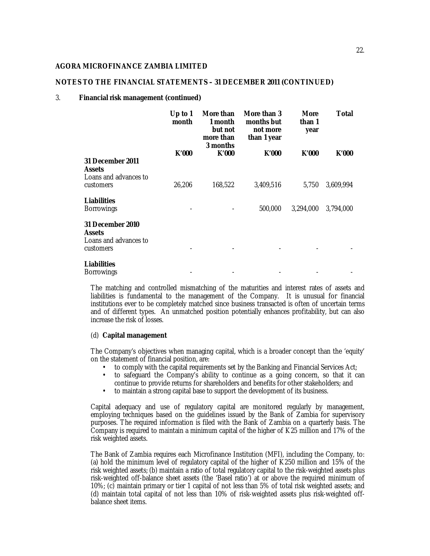## **NOTES TO THE FINANCIAL STATEMENTS – 31 DECEMBER 2011 (CONTINUED)**

#### 3. **Financial risk management (continued)**

|                                                                         | Up to 1<br>month | More than<br>1 month<br>but not<br>more than<br>3 months | More than 3<br>months but<br>not more<br>than 1 year | <b>More</b><br>than 1<br>year | Total     |
|-------------------------------------------------------------------------|------------------|----------------------------------------------------------|------------------------------------------------------|-------------------------------|-----------|
|                                                                         | K'000            | K'000                                                    | K'000                                                | K'000                         | K'000     |
| 31 December 2011<br><b>Assets</b><br>Loans and advances to              |                  |                                                          |                                                      |                               |           |
| customers                                                               | 26,206           | 168,522                                                  | 3,409,516                                            | 5,750                         | 3,609,994 |
| <b>Liabilities</b><br><b>Borrowings</b>                                 |                  |                                                          | 500,000                                              | 3,294,000                     | 3,794,000 |
| 31 December 2010<br><b>Assets</b><br>Loans and advances to<br>customers |                  |                                                          |                                                      |                               |           |
| <b>Liabilities</b><br><b>Borrowings</b>                                 |                  |                                                          |                                                      |                               |           |

The matching and controlled mismatching of the maturities and interest rates of assets and liabilities is fundamental to the management of the Company. It is unusual for financial institutions ever to be completely matched since business transacted is often of uncertain terms and of different types. An unmatched position potentially enhances profitability, but can also increase the risk of losses.

#### (d) **Capital management**

The Company's objectives when managing capital, which is a broader concept than the 'equity' on the statement of financial position, are:

- to comply with the capital requirements set by the Banking and Financial Services Act;
- to safeguard the Company's ability to continue as a going concern, so that it can continue to provide returns for shareholders and benefits for other stakeholders; and
- to maintain a strong capital base to support the development of its business.

Capital adequacy and use of regulatory capital are monitored regularly by management, employing techniques based on the guidelines issued by the Bank of Zambia for supervisory purposes. The required information is filed with the Bank of Zambia on a quarterly basis. The Company is required to maintain a minimum capital of the higher of K25 million and 17% of the risk weighted assets.

The Bank of Zambia requires each Microfinance Institution (MFI), including the Company, to: (a) hold the minimum level of regulatory capital of the higher of K250 million and 15% of the risk weighted assets; (b) maintain a ratio of total regulatory capital to the risk-weighted assets plus risk-weighted off-balance sheet assets (the 'Basel ratio') at or above the required minimum of 10%; (c) maintain primary or tier 1 capital of not less than 5% of total risk weighted assets; and (d) maintain total capital of not less than 10% of risk-weighted assets plus risk-weighted offbalance sheet items.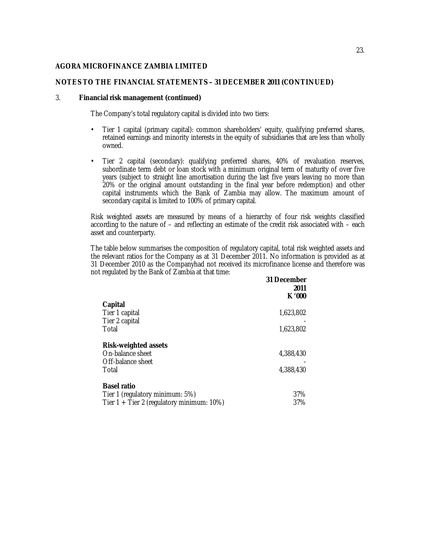## **NOTES TO THE FINANCIAL STATEMENTS – 31 DECEMBER 2011 (CONTINUED)**

#### 3. **Financial risk management (continued)**

The Company's total regulatory capital is divided into two tiers:

- Tier 1 capital (primary capital): common shareholders' equity, qualifying preferred shares, retained earnings and minority interests in the equity of subsidiaries that are less than wholly owned.
- Tier 2 capital (secondary): qualifying preferred shares, 40% of revaluation reserves, subordinate term debt or loan stock with a minimum original term of maturity of over five years (subject to straight line amortisation during the last five years leaving no more than 20% or the original amount outstanding in the final year before redemption) and other capital instruments which the Bank of Zambia may allow. The maximum amount of secondary capital is limited to 100% of primary capital.

Risk weighted assets are measured by means of a hierarchy of four risk weights classified according to the nature of – and reflecting an estimate of the credit risk associated with – each asset and counterparty.

The table below summarises the composition of regulatory capital, total risk weighted assets and the relevant ratios for the Company as at 31 December 2011. No information is provided as at 31 December 2010 as the Companyhad not received its microfinance license and therefore was not regulated by the Bank of Zambia at that time:

| 31 December<br>2011<br>K '000 |
|-------------------------------|
|                               |
| 1,623,802                     |
|                               |
| 1,623,802                     |
|                               |
| 4,388,430                     |
|                               |
| 4,388,430                     |
|                               |
| 37%                           |
| 37%                           |
|                               |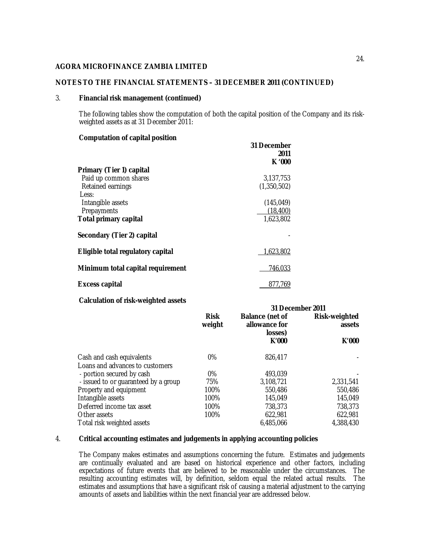## **NOTES TO THE FINANCIAL STATEMENTS – 31 DECEMBER 2011 (CONTINUED)**

#### 3. **Financial risk management (continued)**

The following tables show the computation of both the capital position of the Company and its riskweighted assets as at 31 December 2011:

## **Computation of capital position**

|                                   | 31 December<br>2011 |
|-----------------------------------|---------------------|
|                                   | K '000              |
| Primary (Tier 1) capital          |                     |
| Paid up common shares             | 3.137.753           |
| Retained earnings                 | (1,350,502)         |
| Less:                             |                     |
| Intangible assets                 | (145, 049)          |
| Prepayments                       | (18, 400)           |
| <b>Total primary capital</b>      | 1,623,802           |
| Secondary (Tier 2) capital        |                     |
| Eligible total regulatory capital | 1,623,802           |
| Minimum total capital requirement | 746,033             |
| <b>Excess capital</b>             | 877.769             |

## **Calculation of risk-weighted assets**

|                                      | 31 December 2011      |                                                    |                         |
|--------------------------------------|-----------------------|----------------------------------------------------|-------------------------|
|                                      | <b>Risk</b><br>weight | <b>Balance (net of</b><br>allowance for<br>losses) | Risk-weighted<br>assets |
|                                      |                       | K'000                                              | K'000                   |
| Cash and cash equivalents            | $0\%$                 | 826,417                                            |                         |
| Loans and advances to customers      |                       |                                                    |                         |
| - portion secured by cash            | $0\%$                 | 493,039                                            |                         |
| - issued to or guaranteed by a group | 75%                   | 3,108,721                                          | 2,331,541               |
| Property and equipment               | 100%                  | 550,486                                            | 550,486                 |
| Intangible assets                    | 100%                  | 145,049                                            | 145,049                 |
| Deferred income tax asset            | 100%                  | 738,373                                            | 738,373                 |
| Other assets                         | 100%                  | 622,981                                            | 622,981                 |
| Total risk weighted assets           |                       | 6.485.066                                          | 4,388,430               |

## 4. **Critical accounting estimates and judgements in applying accounting policies**

The Company makes estimates and assumptions concerning the future. Estimates and judgements are continually evaluated and are based on historical experience and other factors, including expectations of future events that are believed to be reasonable under the circumstances. The resulting accounting estimates will, by definition, seldom equal the related actual results. The estimates and assumptions that have a significant risk of causing a material adjustment to the carrying amounts of assets and liabilities within the next financial year are addressed below.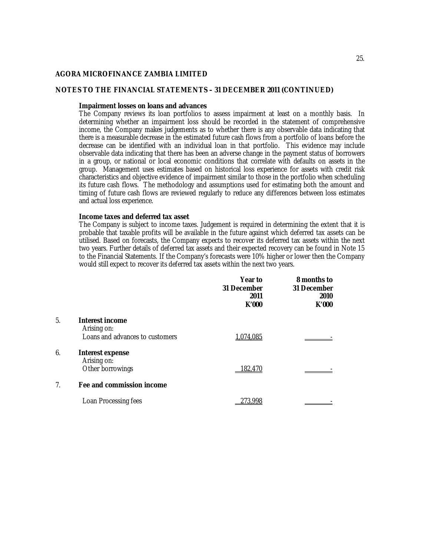## **NOTES TO THE FINANCIAL STATEMENTS – 31 DECEMBER 2011 (CONTINUED)**

#### **Impairment losses on loans and advances**

The Company reviews its loan portfolios to assess impairment at least on a monthly basis. In determining whether an impairment loss should be recorded in the statement of comprehensive income, the Company makes judgements as to whether there is any observable data indicating that there is a measurable decrease in the estimated future cash flows from a portfolio of loans before the decrease can be identified with an individual loan in that portfolio. This evidence may include observable data indicating that there has been an adverse change in the payment status of borrowers in a group, or national or local economic conditions that correlate with defaults on assets in the group. Management uses estimates based on historical loss experience for assets with credit risk characteristics and objective evidence of impairment similar to those in the portfolio when scheduling its future cash flows. The methodology and assumptions used for estimating both the amount and timing of future cash flows are reviewed regularly to reduce any differences between loss estimates and actual loss experience.

#### **Income taxes and deferred tax asset**

The Company is subject to income taxes. Judgement is required in determining the extent that it is probable that taxable profits will be available in the future against which deferred tax assets can be utilised. Based on forecasts, the Company expects to recover its deferred tax assets within the next two years. Further details of deferred tax assets and their expected recovery can be found in Note 15 to the Financial Statements. If the Company's forecasts were 10% higher or lower then the Company would still expect to recover its deferred tax assets within the next two years.

|                |                                        | Year to<br>31 December<br>2011<br>K'000 | 8 months to<br>31 December<br>2010<br>K'000 |
|----------------|----------------------------------------|-----------------------------------------|---------------------------------------------|
| 5.             | Interest income<br>Arising on:         |                                         |                                             |
|                | Loans and advances to customers        | 1.074.085                               |                                             |
| 6.             | <b>Interest expense</b><br>Arising on: |                                         |                                             |
|                | Other borrowings                       | 182,470                                 |                                             |
| 7 <sub>1</sub> | Fee and commission income              |                                         |                                             |
|                | Loan Processing fees                   | 273.998                                 |                                             |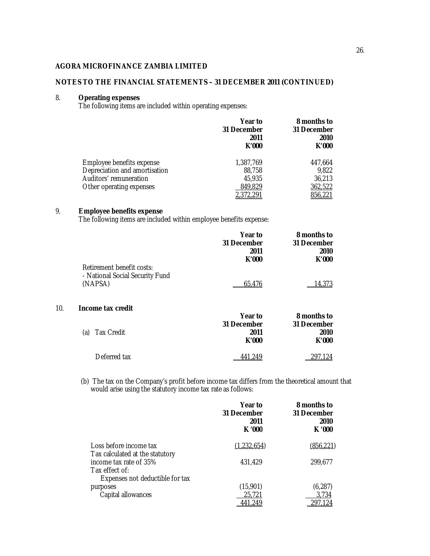## **NOTES TO THE FINANCIAL STATEMENTS – 31 DECEMBER 2011 (CONTINUED)**

#### 8. **Operating expenses**

The following items are included within operating expenses:

|                               | Year to<br>31 December<br>2011<br>K'000 | 8 months to<br>31 December<br>2010<br>K'000 |
|-------------------------------|-----------------------------------------|---------------------------------------------|
| Employee benefits expense     | 1,387,769                               | 447.664                                     |
| Depreciation and amortisation | 88,758                                  | 9,822                                       |
| Auditors' remuneration        | 45,935                                  | 36,213                                      |
| Other operating expenses      | 849,829                                 | 362,522                                     |
|                               | 2,372,291                               | 856,221                                     |

# 9. **Employee benefits expense**

The following items are included within employee benefits expense:

|     |                                                                         | Year to<br>31 December<br>2011<br>K'000 | 8 months to<br>31 December<br>2010<br>K'000 |
|-----|-------------------------------------------------------------------------|-----------------------------------------|---------------------------------------------|
|     | Retirement benefit costs:<br>- National Social Security Fund<br>(NAPSA) | 65.476                                  | 14.373                                      |
| 10. | Income tax credit                                                       | Year to                                 | 8 months to                                 |
|     | <b>Tax Credit</b><br>(a)                                                | 31 December<br>2011<br>K'000            | 31 December<br>2010<br>K'000                |
|     | Deferred tax                                                            | 441.249                                 | 297.124                                     |

(b) The tax on the Company's profit before income tax differs from the theoretical amount that would arise using the statutory income tax rate as follows:

|                                                           | Year to<br>31 December<br>2011<br>K'000 | 8 months to<br>31 December<br>2010<br>K '000 |
|-----------------------------------------------------------|-----------------------------------------|----------------------------------------------|
| Loss before income tax                                    | (1,232,654)                             | (856, 221)                                   |
| Tax calculated at the statutory<br>income tax rate of 35% | 431,429                                 | 299,677                                      |
| Tax effect of:<br>Expenses not deductible for tax         |                                         |                                              |
| purposes                                                  | (15,901)                                | (6, 287)                                     |
| Capital allowances                                        | 25,721                                  | 3.734                                        |
|                                                           |                                         |                                              |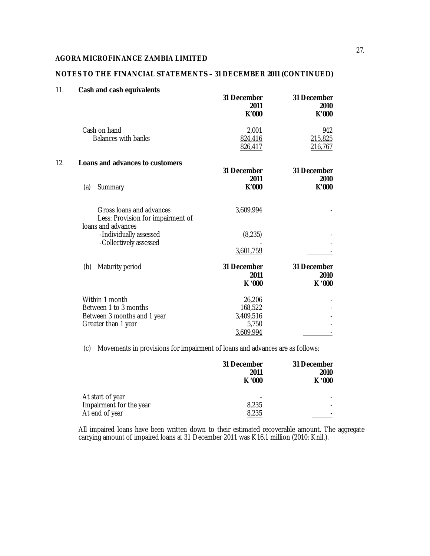# **NOTES TO THE FINANCIAL STATEMENTS – 31 DECEMBER 2011 (CONTINUED)**

| 11. | Cash and cash equivalents                                                                     | 31 December<br>2011<br>K'000                         | 31 December<br>2010<br>K'000     |
|-----|-----------------------------------------------------------------------------------------------|------------------------------------------------------|----------------------------------|
|     | Cash on hand<br><b>Balances with banks</b>                                                    | 2,001<br>824,416<br>826,417                          | 942<br>215,825<br><u>216,767</u> |
| 12. | Loans and advances to customers                                                               | 31 December                                          | 31 December                      |
|     | (a)<br>Summary                                                                                | 2011<br>K'000                                        | 2010<br>K'000                    |
|     | Gross Ioans and advances<br>Less: Provision for impairment of<br>loans and advances           | 3,609,994                                            |                                  |
|     | -Individually assessed<br>-Collectively assessed                                              | (8, 235)<br>3,601,759                                |                                  |
|     | Maturity period<br>(b)                                                                        | 31 December<br>2011<br>K '000                        | 31 December<br>2010<br>K '000    |
|     | Within 1 month<br>Between 1 to 3 months<br>Between 3 months and 1 year<br>Greater than 1 year | 26,206<br>168,522<br>3,409,516<br>5,750<br>3,609,994 |                                  |

(c) Movements in provisions for impairment of loans and advances are as follows:

|                         | 31 December<br>2011<br>K '000 | 31 December<br>2010<br>K '000 |
|-------------------------|-------------------------------|-------------------------------|
| At start of year        |                               |                               |
| Impairment for the year | 8,235                         |                               |
| At end of year          | 8.235                         |                               |

All impaired loans have been written down to their estimated recoverable amount. The aggregate carrying amount of impaired loans at 31 December 2011 was K16.1 million (2010: Knil.).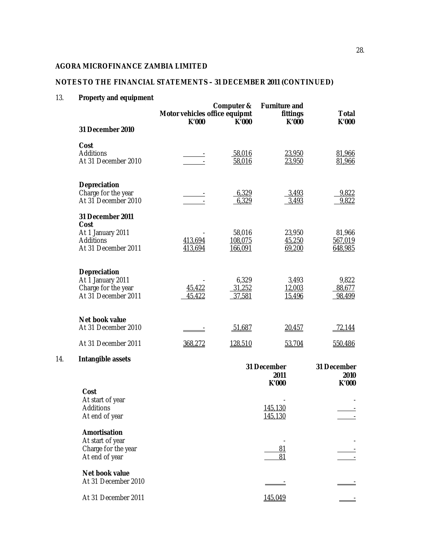# **NOTES TO THE FINANCIAL STATEMENTS – 31 DECEMBER 2011 (CONTINUED)**

# 13. **Property and equipment**

14. **Intangible assets**

| <b>Γιυμειτή από εγαιρπιστι</b>                                                    | Motor vehicles office equipmt<br>K'000 | Computer &<br>K'000          | <b>Furniture and</b><br>fittings<br>K'000 | <b>Total</b><br>K'000        |
|-----------------------------------------------------------------------------------|----------------------------------------|------------------------------|-------------------------------------------|------------------------------|
| 31 December 2010                                                                  |                                        |                              |                                           |                              |
| Cost<br>Additions<br>At 31 December 2010                                          |                                        | 58,016<br>58,016             | 23,950<br>23,950                          | 81,966<br>81,966             |
| Depreciation<br>Charge for the year<br>At 31 December 2010                        |                                        | 6,329<br>6,329               | 3,493<br>3,493                            | 9,822<br>9,822               |
| 31 December 2011<br>Cost<br>At 1 January 2011<br>Additions<br>At 31 December 2011 | 413,694<br>413,694                     | 58,016<br>108,075<br>166,091 | 23,950<br>45,250<br>69,200                | 81,966<br>567,019<br>648,985 |
| Depreciation<br>At 1 January 2011<br>Charge for the year<br>At 31 December 2011   | 45,422<br>45,422                       | 6,329<br>31,252<br>37,581    | 3,493<br>12,003<br>15,496                 | 9,822<br>88,677<br>98,499    |
| Net book value<br>At 31 December 2010                                             |                                        | 51,687                       | 20,457                                    | 72,144                       |
| At 31 December 2011                                                               | 368,272                                | 128,510                      | 53,704                                    | 550,486                      |
| Intangible assets                                                                 |                                        |                              | 31 December<br>2011<br>K'000              | 31 December<br>2010<br>K'000 |
| Cost<br>At start of year<br>Additions<br>At end of year                           |                                        |                              | 145,130<br>145,130                        |                              |
| <b>Amortisation</b><br>At start of year<br>Charge for the year<br>At end of year  |                                        |                              | 81<br>81                                  |                              |
| Net book value                                                                    |                                        |                              |                                           |                              |

**Net book value** At 31 December 2010 - - At 31 December 2011 145,049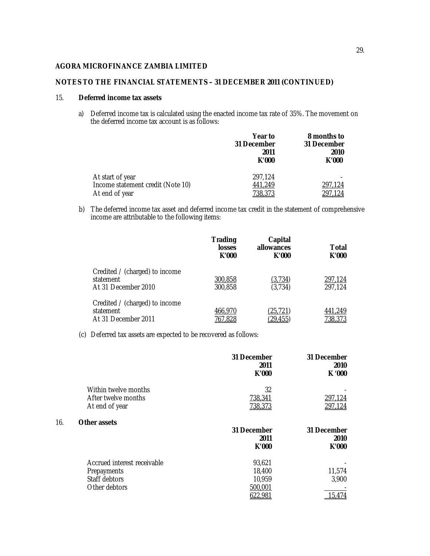## **NOTES TO THE FINANCIAL STATEMENTS – 31 DECEMBER 2011 (CONTINUED)**

## 15. **Deferred income tax assets**

a) Deferred income tax is calculated using the enacted income tax rate of 35%. The movement on the deferred income tax account is as follows:

|                                   | Year to<br>31 December<br>2011<br>K'000 | 8 months to<br>31 December<br>2010<br>K'000 |
|-----------------------------------|-----------------------------------------|---------------------------------------------|
| At start of year                  | 297.124                                 |                                             |
| Income statement credit (Note 10) | 441,249                                 | 297,124                                     |
| At end of year                    | <u>738,373</u>                          | 297.124                                     |

b) The deferred income tax asset and deferred income tax credit in the statement of comprehensive income are attributable to the following items:

|                                                                    | <b>Trading</b><br><b>losses</b><br>K'000 | Capital<br>allowances<br>K'000 | Total<br>K'000     |
|--------------------------------------------------------------------|------------------------------------------|--------------------------------|--------------------|
| Credited / (charged) to income<br>statement<br>At 31 December 2010 | 300,858<br>300,858                       | (3,734)<br>(3,734)             | 297,124<br>297,124 |
| Credited / (charged) to income<br>statement<br>At 31 December 2011 | 466,970<br>767,828                       | (25,721)<br>(29, 455)          | 441,249<br>738,373 |

(c) Deferred tax assets are expected to be recovered as follows:

|     |                                                                              | 31 December<br>2011<br>K'000          | 31 December<br>2010<br>K '000 |
|-----|------------------------------------------------------------------------------|---------------------------------------|-------------------------------|
|     | Within twelve months                                                         | 32                                    |                               |
|     | After twelve months<br>At end of year                                        | 738,341<br>738,373                    | 297,124<br>297,124            |
| 16. | <b>Other assets</b>                                                          | 31 December<br>2011<br>K'000          | 31 December<br>2010<br>K'000  |
|     | Accrued interest receivable<br>Prepayments<br>Staff debtors<br>Other debtors | 93,621<br>18,400<br>10,959<br>500,001 | 11,574<br>3,900<br>15.474     |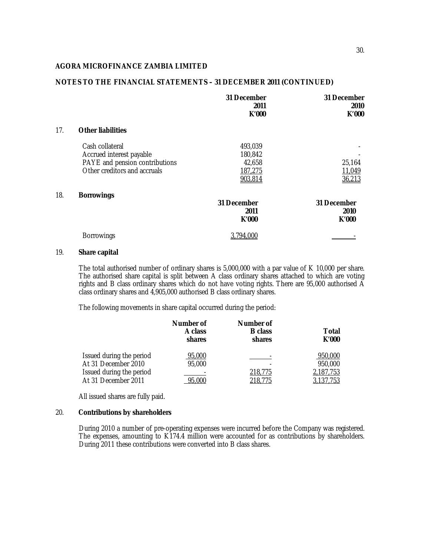## **NOTES TO THE FINANCIAL STATEMENTS – 31 DECEMBER 2011 (CONTINUED)**

|     |                                                                | 31 December<br>2011<br>K'000 | 31 December<br>2010<br>K'000 |
|-----|----------------------------------------------------------------|------------------------------|------------------------------|
| 17. | <b>Other liabilities</b>                                       |                              |                              |
|     | Cash collateral<br>Accrued interest payable                    | 493,039<br>180,842           |                              |
|     | PAYE and pension contributions<br>Other creditors and accruals | 42,658<br>187,275<br>903,814 | 25,164<br>11,049<br>36,213   |
| 18. | <b>Borrowings</b>                                              | 31 December<br>2011<br>K'000 | 31 December<br>2010<br>K'000 |
|     | <b>Borrowings</b>                                              | 3,794,000                    |                              |

## 19. **Share capital**

The total authorised number of ordinary shares is 5,000,000 with a par value of K 10,000 per share. The authorised share capital is split between A class ordinary shares attached to which are voting rights and B class ordinary shares which do not have voting rights. There are 95,000 authorised A class ordinary shares and 4,905,000 authorised B class ordinary shares.

The following movements in share capital occurred during the period:

|                          | Number of<br>A class<br>shares | Number of<br><b>B</b> class<br>shares | Total<br>K'000 |
|--------------------------|--------------------------------|---------------------------------------|----------------|
| Issued during the period | 95,000                         |                                       | 950,000        |
| At 31 December 2010      | 95,000                         |                                       | 950,000        |
| Issued during the period |                                | 218,775                               | 2,187,753      |
| At 31 December 2011      | 95,000                         | 218,775                               | 3,137,753      |

All issued shares are fully paid.

## 20. **Contributions by shareholders**

During 2010 a number of pre-operating expenses were incurred before the Company was registered. The expenses, amounting to K174.4 million were accounted for as contributions by shareholders. During 2011 these contributions were converted into B class shares.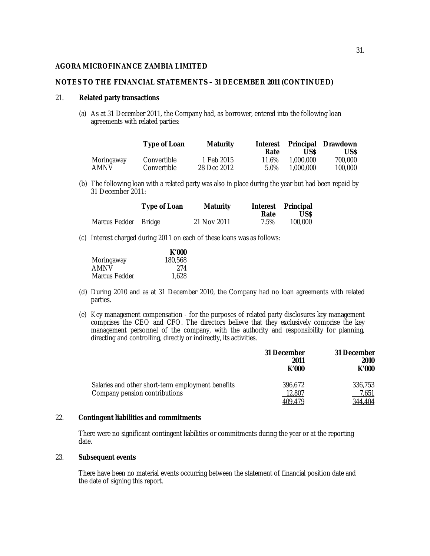## **NOTES TO THE FINANCIAL STATEMENTS – 31 DECEMBER 2011 (CONTINUED)**

#### 21. **Related party transactions**

(a) As at 31 December 2011, the Company had, as borrower, entered into the following loan agreements with related parties:

|            | Type of Loan | <b>Maturity</b> | <b>Interest</b><br>Rate | Principal<br>US\$ | Drawdown<br>US\$ |
|------------|--------------|-----------------|-------------------------|-------------------|------------------|
| Moringaway | Convertible  | 1 Feb 2015      | 11.6%                   | 1.000.000         | 700,000          |
| AMNV       | Convertible  | 28 Dec 2012     | 5.0%                    | 1.000.000         | 100.000          |

(b) The following loan with a related party was also in place during the year but had been repaid by 31 December 2011:

|                      | <b>Type of Loan</b> | <b>Maturity</b> | Rate | Interest Principal<br>US\$ |
|----------------------|---------------------|-----------------|------|----------------------------|
| Marcus Fedder Bridge |                     | 21 Nov 2011     | 7.5% | 100,000                    |

(c) Interest charged during 2011 on each of these loans was as follows:

|               | K'000   |
|---------------|---------|
| Moringaway    | 180,568 |
| AMNV          | 274     |
| Marcus Fedder | 1.628   |

- (d) During 2010 and as at 31 December 2010, the Company had no loan agreements with related parties.
- (e) Key management compensation for the purposes of related party disclosures key management comprises the CEO and CFO. The directors believe that they exclusively comprise the key management personnel of the company, with the authority and responsibility for planning, directing and controlling, directly or indirectly, its activities.

|                                                                                    | 31 December<br>2011<br>K'000 | 31 December<br>2010<br>K'000 |
|------------------------------------------------------------------------------------|------------------------------|------------------------------|
| Salaries and other short-term employment benefits<br>Company pension contributions | 396.672<br>12,807<br>409.479 | 336.753<br>7,651<br>344,404  |

## 22. **Contingent liabilities and commitments**

There were no significant contingent liabilities or commitments during the year or at the reporting date.

## 23. **Subsequent events**

There have been no material events occurring between the statement of financial position date and the date of signing this report.